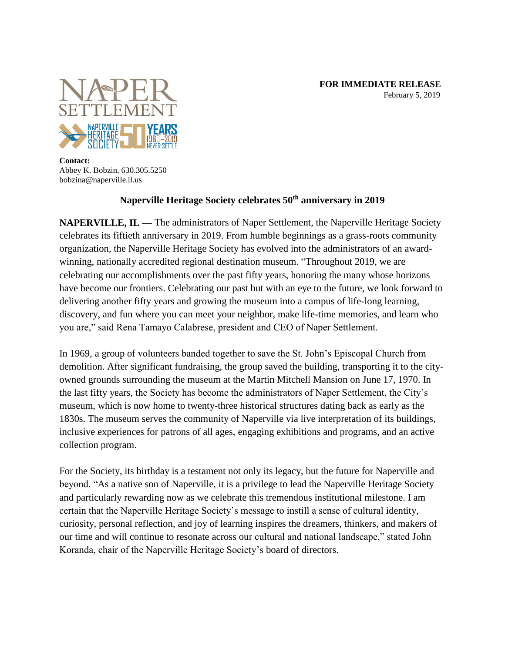

**Contact:** Abbey K. Bobzin, 630.305.5250 bobzina@naperville.il.us

# **Naperville Heritage Society celebrates 50th anniversary in 2019**

**NAPERVILLE, IL** — The administrators of Naper Settlement, the Naperville Heritage Society celebrates its fiftieth anniversary in 2019. From humble beginnings as a grass-roots community organization, the Naperville Heritage Society has evolved into the administrators of an awardwinning, nationally accredited regional destination museum. "Throughout 2019, we are celebrating our accomplishments over the past fifty years, honoring the many whose horizons have become our frontiers. Celebrating our past but with an eye to the future, we look forward to delivering another fifty years and growing the museum into a campus of life-long learning, discovery, and fun where you can meet your neighbor, make life-time memories, and learn who you are," said Rena Tamayo Calabrese, president and CEO of Naper Settlement.

In 1969, a group of volunteers banded together to save the St. John's Episcopal Church from demolition. After significant fundraising, the group saved the building, transporting it to the cityowned grounds surrounding the museum at the Martin Mitchell Mansion on June 17, 1970. In the last fifty years, the Society has become the administrators of Naper Settlement, the City's museum, which is now home to twenty-three historical structures dating back as early as the 1830s. The museum serves the community of Naperville via live interpretation of its buildings, inclusive experiences for patrons of all ages, engaging exhibitions and programs, and an active collection program.

For the Society, its birthday is a testament not only its legacy, but the future for Naperville and beyond. "As a native son of Naperville, it is a privilege to lead the Naperville Heritage Society and particularly rewarding now as we celebrate this tremendous institutional milestone. I am certain that the Naperville Heritage Society's message to instill a sense of cultural identity, curiosity, personal reflection, and joy of learning inspires the dreamers, thinkers, and makers of our time and will continue to resonate across our cultural and national landscape," stated John Koranda, chair of the Naperville Heritage Society's board of directors.